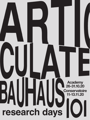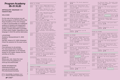## **Program Academy 26-31.10.20**

**ARTICULATE | BAUHAUS 1 0 1 research days**

#### WELCOME!

On this side of the brochure you will find the program of ARTICULATE at the Royal Academy of Fine Arts Antwerp. In order to accommodate our multilingual audience of students and researchers, all practical information is published in English. Content information is provided in Dutch and/or English, depending on the language in which the activity takes place.

#### LOCATIONS

Academy: Mutsaardstraat 31, 2000 Antwerp

Het Bos: Ankerrui 5/7, 2000 Antwerpen Check the sessions for the exact venue.

#### **TICKETS**

Free admission to all activities. For most events at the Academy advanced registration is not required, except for the master classes and the activities at Het Bos.

#### COVID-19

Before your visit, check the most recent Covid-19-guidelines on www.ap-arts.be/articulate

#### MORE INFORMATION

art&research@ap.be www.ap-arts.be/articulate FB artandresearchantwerp

#### Koninklijke Academie voor Schone Kunsten Antwerpen

| <b>AP</b> AP HOGESCHOOL |  |  |
|-------------------------|--|--|
|                         |  |  |

| MONDAY 26 OCTOBER |  |
|-------------------|--|
|-------------------|--|

- 10:00 • Master class 'THINK TANK future<br>18:00 TV', by Kristof Timmerman & Jan TV', by Kristof Timmerman & Janna Beck (**p. 4**) • Master class 'WRITING OUT LOUD', by Stefan Vanthuyne & Inge Henneman
	- (**p. 6**) • Master class 'Apartheid Art History Room', by Nico Dockx & Thomas Crombez (**p. 7**)
	- Master class 'The world looks indeed quite different', by Els Dietvorst (**p. 8**) • Master class 'Difficult to see', by
	- Vijai Patchineelam (**p. 9**)

10:00 – Research day 'VISI.ON.AIR. Talks and 16:00 thoughts about media. art and thoughts about media, art and technology', by MAXlab, with Lode Coen, Frederik De Bleser, Christophe De Jaeger, Philip Meersman, Kris Meeusen, Dan Mussett, Natché, Studio Radiaal, Rafaël Rozendaal, Peter Westenberg (**p. 4**)

- 11:00 Exhibition 'The Unruly Apparatus',<br>18:00 with works by Thomas Ruff, Sine Va with works by Thomas Ruff, Sine Van Menxel, Ine Kools, Filip Vervaet, Bram Rinkel, Spiros Hadjadjanos, Anton Cotteleer, Elias Asselbergh, Walead Beshty, Fabien Silvestre Suzor, Athar Jaber, Liesbet Grupping, Bernard Voïta, Aglaia Konrad, Kaat Somers, Azuli Peeters, Geert Goiris, Alix Manon, Seth Price, Bernadette Zdrazil, Miguel Cipriano, Wade Guyton (**p. 10**)
- 11:00 Reading room 'Track Report: The 18:00 first decade. 10 Years of artistic research' (**p. 11**)
- 11:00 'Initiatives for a Future-proof<br>14:00 Academy', by Educational Master Academy', by Educational Master of the Academy (**p. 16**)

#### continuously

V.U. Pascale De Groote

Pascale

v.u.

Groote **B**   Project 'Proposities voor DE PARKING', by students In Situ, in collaboration with students of UAntwerp, Design Sciences (Architecture) (**p. 18**)

#### TUESDAY 27 OCTOBER

10:00 – Master classes 'THINK TANK future 18:00 TV', 'WRITING OUT LOUD', 'Apartheid Art History Room', 'The world looks indeed quite different', 'Difficult to see' (**p. 4, 6-9**)

| $11:00 -$<br>18:00                                                                                  | Exhibition 'The Unruly Apparatus'<br>(p. 10)                                                                                                                                   |                                          | Art History Room', 'The world looks<br>indeed quite different', 'Difficult<br>to see' $(p. 4, 6-9)$ |  |  |
|-----------------------------------------------------------------------------------------------------|--------------------------------------------------------------------------------------------------------------------------------------------------------------------------------|------------------------------------------|-----------------------------------------------------------------------------------------------------|--|--|
| $11:00 -$<br>18:00                                                                                  | Reading room 'Track Report: The<br>first decade. 10 Years of artistic<br>$research'$ (p. 11)                                                                                   | $11:00 -$<br>18:00                       | Exhibition 'The Unruly Apparatus'<br>(p. 10)                                                        |  |  |
| $12:00 -$<br>14:00                                                                                  | 'Initiatives for a Future-proof<br>Academy', by Educational Master of<br>the Academy $(p.16)$                                                                                  | $11:00 -$<br>18:00                       | Reading room 'Track Report: The<br>first decade. 10 Years of artistic<br>$research'$ ( $p. 11$ )    |  |  |
| $12:30 -$<br>14:00                                                                                  | 'Soup Safe Session', guided walk<br>hosted by Steven Humblet, Geert<br>Goiris and Anton Cotteleer (p. 12)                                                                      | $12:30 -$<br>14:00                       | Dietvorst an postponed sted by Els                                                                  |  |  |
| $20:30 -$<br>21:00                                                                                  | Release concert 'Singer<br>Featherweight', by LEAP/DETACH<br>(Vitja Pauwels, Hendrik Lasure and                                                                                | $18:00 -$<br>19:30                       | Presentation master class<br>'VISI.ON.AIR // THINK TANK future TV'<br>(p. 5)                        |  |  |
|                                                                                                     | Casper Van De Velde) (p. 13)                                                                                                                                                   | $19:00 -$<br>20:30                       | 'Extra Academy', with guest Radio<br>Centraal (p. 14)                                               |  |  |
| $00:00 -$<br>01:30                                                                                  | Live radio show & album release<br>'Plano B, Lapa', by Vijai<br>Patchineelam (p. 14)                                                                                           | continuously                             | Project 'Proposities voor DE<br>PARKING' (p. 18)                                                    |  |  |
| continuously                                                                                        | Project 'Proposities voor DE                                                                                                                                                   |                                          |                                                                                                     |  |  |
|                                                                                                     | PARKING' (p. 18)                                                                                                                                                               |                                          | FRIDAY 30 OCTOBER                                                                                   |  |  |
|                                                                                                     | WEDNESDAY 28 OCTOBER                                                                                                                                                           | $10:00 -$<br>18:00                       | Master classes 'THINK TANK future<br>TV', 'WRITING OUT LOUD', 'Apartheid                            |  |  |
| $10:00 -$<br>18:00                                                                                  | Master classes 'THINK TANK future<br>TV', 'WRITING OUT LOUD', 'Apartheid                                                                                                       |                                          | Art History Room', 'The world looks<br>indeed quite different', 'Difficult<br>to see' (p. 4, 6-9)   |  |  |
| Art History Room', 'The world looks<br>indeed quite different', 'Difficult<br>to see' $(p. 4, 6-9)$ |                                                                                                                                                                                | $11:00 -$<br>18:00                       | Exhibition 'The Unruly Apparatus'<br>(p. 10)                                                        |  |  |
| $11:00 -$<br>18:00                                                                                  | Exhibition 'The Unruly Apparatus'<br>(p. 10)                                                                                                                                   | $11:00 -$<br>18:00                       | Reading room 'Track Report: The<br>first decade. 10 Years of artistic<br>research' (p. 11)          |  |  |
| $11:00 -$<br>18:00                                                                                  | Reading room 'Track Report: The<br>first decade. 10 Years of artistic<br>$research'$ (p. 11)                                                                                   | continuously                             | Project 'Proposities voor DE<br>PARKING' (p. 18)                                                    |  |  |
| $17:30 -$<br>19:30                                                                                  | Discussion evening 'BAUHAUS 101 -<br>EXPANDING ACADEMY. Experiments in                                                                                                         |                                          |                                                                                                     |  |  |
|                                                                                                     | Higher Arts Education and Research'                                                                                                                                            | SATURDAY 31 OCTOBER ANTWERP ART NOCTURNE |                                                                                                     |  |  |
|                                                                                                     | .introduce in Pas<br>.presenta postponed ities voor DE<br>PARKING', by students In Situ                                                                                        | $12:00 -$<br>21:00                       | Exhibition 'The Unruly Apparatus'<br>(p. 10)                                                        |  |  |
|                                                                                                     | · lecture 'BAUHAUS: Paradoxes<br>exposed', by Inge Henneman<br>· presentation 'Expanding Academy' by<br>Nico Dockx and Judith Wielander<br>conversation 'On Art Education' and | $12:00 -$<br>21:00                       | Reading room 'Track Report: The<br>first decade. 10 Years of artistic<br>research' (p. 11)          |  |  |
| $Q&A$ (p. 15)                                                                                       |                                                                                                                                                                                | $12:00 -$<br>21:00                       | Book launch 'Naughty Kids - Punk<br>in Antwerp' & film screening                                    |  |  |
| continuously                                                                                        | Project 'Proposities voor DE<br>PARKING' (p. 18)                                                                                                                               |                                          | 'Anarchy & Attitude. Punk in Antwerp<br>1980-1990' (p. 19)<br>postponed                             |  |  |
|                                                                                                     |                                                                                                                                                                                |                                          |                                                                                                     |  |  |
|                                                                                                     | THURSDAY 29 OCTOBER                                                                                                                                                            |                                          |                                                                                                     |  |  |

10:00 - Master classes 'THINK TANK future<br>18:00 - TV'. 'WRITING OUT LOUD'. 'Apartheic

TV', 'WRITING OUT LOUD', 'Apartheid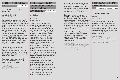

Master class

by **Kristof Timmermans** & **Janna Beck**

**Mon 26.10 – Fri 30.10**   $10:00 - 18:00$ 

The media landscape is on the eve of a revolutionary upheaval. Over the next decade, "watching television" will change radically. Where television used to be inw the hands of the government and used as propaganda, new channels such as YouTube, Vimeo, Facebook,… give the possibility to stream your own content. Subscribers or followers sometimes number in the millions. What will the TV channel of the future look like? How do you define a TV channel today? What is the difference between Tik-Tok, Netflix and VRT? Where are the opportunities for the arts in this revolution?

Participants will develop in small groups new TV formats of the future. They design a visual identity, form and substantive concept that they present on Thursday evening in a launch event with a one-minute trailer.

This master class and the research day on Monday are the kick-off of the research project VISI.ON.AIR.

For master students Language: English Venue: Academy (Wintertuin) More information on ap-arts.be

### **VISI.ON.AIR. Talks and thoughts about media, art and technology** Research day

#### by **MAXlab**

**Mon 26.10**  $10:00 - 16:00$ 

During ARTICULATE, MAXlab is launching the collective research project VISI.ON.AIR. This project aims to initiate a dialogue about media, art and technology and should ultimately lead to the co-creation of a digital TV channel. As a kick-off of the project, MAXlab invites a number of (inter) national guests and some of its own researchers on Monday 26 October to talk about contemporary (social) media, the role of (digital) arts in these media and the relationship to their own work. The whole is presented as an experimental television show, live from the Wintertuin. If possible, a limited audience is admitted, a larger audience can follow via live streaming. Recordings of the TV show may later become part of the programming of the TV channel that will be further developed.

This event is the first in a series of experiments within VISI.ON.AIR. On the one hand, it is investigated during the recordings how the live experience can be enhanced, what the added value is of such a live event and how visual elements can contribute. On the other hand, it is a preliminary study for the TV channel and the

lectures/performances provide input to further delineate the research. During the master class 'THINK TANK future TV', students will then make an artistic translation into concepts and concrete proposals for future TV formats.

Questions that may be addressed during this research day are: How do you define digital arts in the current media landscape? When do science and technology become art? Where are the major challenges for researchers in the contemporary media landscape? Where are the opportunities for MAXlab and the Academy in general?

With contributions by Lode Coen, Frederik De Bleser, Christophe De Jaeger, Philip Meersman, Kris Meeusen, Dan Mussett, Natché, Studio Radiaal, Rafaël Rozendaal, Peter Westenberg

Language: English

Venue: Academy (Wintertuin): live attendance is reserved for the participants of the master class and researchers of MAXlab Online attendance via live streaming youtube.com/royalacademyantwerp/live

### **VISI.ON.AIR // THINK TANK future TV**

Presentation master class

#### by **students master class**

**Thu 29.10** 18:00 – 19:30

In the master class 'THINK TANK future TV', students develop in small groups new TV formats of the future. They design a visual identity, form and substantive concept that they present on Thursday evening in a launch event with a one-minute trailer. This is streamed live from the Wintertuin.

Language: English

Venue: Academy (Wintertuin): live attendance is reserved for the participants of the master class and researchers of Maxlab, online attendance via live streaming youtube.com/royalacademyantwerp/live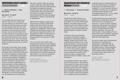### **WRITING OUT LOUD**

Master class

by **Stefan Vanthuyne** & **Inge Henneman**

**Mon 26.10 – Fri 30.10**  $10:00 - 18:00$ 

In this master class you explore and discover how you, as a visual artist, can use writing as an instrument in your thinking and working process; as a way to look critically at your own work and the work of others, but also as a way to get closer to yourself and your artistic practice. As you can think aloud, here you will write aloud. The purpose is not to become a writer, but to become familiar with words and to find your own voice to talk about your work. Thus, the common thread throughout the master class is the laying of a solid foundation for an artist's statement.

At the start of the master class, we give due attention to your notebook and diary entries, which you start keeping prior to the master class. Could they be important for artists, for example, to sharpen their awareness in observation and expose to us how we see and think? Throughout the week during interactive sessions we share our influences, references and sources, we map our genealogy as an artist, and reflect on what occupies our minds on a daily basis. We do word and writing exercises (possibly in relation to images) that pull you out of your comfort zone and your familiar artistic vocabulary. We literally cut, shred and paste text into new sentences and constructions.

We visit a museum, where you choose a work to write about. We respond with words to each other's work and talk about the relation we experience between words and the visual. We read a couple of artists' texts. But we stay away from the hermetic 'art speak' and look for more personal and free forms like letters, conversations, stream of consciousness or visual poetry.

Wilfried Huet of Gagarin magazine will show how you can open up the whole matter of text and art when 'the artist in his/her own words' stays away from explanation or justification. Poet and writer Charlotte Van den Broeck comes to visit and brings her experiences with her. On Thursday there will be an intervention by Mekhitar Garabedian, who will lend us his perspective on an exercise in artistic research.

Prior to the start of the master class, participants are required to start keeping an observation diary with daily reflections (from the beginning of October), as a personal preparatory exercise. These diary entries in your notebook will be the starting point for the shared process that takes shape in an open but confidential and secure research environment.

For master students Language: English and Dutch Venue: Academy (Anatomielokaal) More information on ap-arts.be

### **Apartheid Art History** Master class

by **Nico Dockx** & **Thomas Crombez**

**Mon 26.10 – Fri 30.10**  $10:00 - 18:00$ 

'Apartheid Art History Room' is an ongoing research project initiated by art historian, curator and thinker Sarat Maharaj. The project starts from his classroom back in the 1960s in Durban in South Africa, where he studied Art History at a university restricted by the apartheid regime to 'Blacks of Indian origin'.

At the time, this room developed as a hybrid environment, privately exhibiting an 'evolutionary ladder' of artifacts, artworks and cultures, thus undermining the insistence on a clear distinction between cultural groups as applied by the apartheid government. The central intention of the research is to 'revive' the Art History Room in new and very different contexts leading to new readings and versions of this classroom set-up, as happened in previous iterations in Malmö, Lisbon, and Amsterdam.

The Academy will host a new version of the Art History Room. The objective of the original Art History Room was to underline a Eurocentric vision of things. But what counter-views and readings did the display also open up – perhaps quite unwittingly? What light could this throw on today's world of the migratory mix of peoples and cultural elements —

on prickly issues of 'multiculturalism, its limits and shortcomings', on questions of learning to live with 'diversity and multiplicity', on much-thumbed notions of 'hospitality' and tolerance, on ceaseless everyday cultural translation and cosmopolitanising forces – all in a setting of apparent 'racisme sans race'?

Collaboration being a key component in developing new readings of the image of the room and in furnishing new works for it, a group of artists, teachers, researchers and students has started a collaborative dialogue in a preparatory process, exploring these and other research questions. The group will work towards a critical display of the Art History Room at the Academy, supported by a (semi) public program of lectures, walks and other gatherings.

During the master class accompanying the project, the ongoing group collaboration is expanded with the participants of the master class. We will explore echoes of these questions together with master students: What kind of objects could be added to the Art History Room? What would you personally add to it?

For master students Language: English Venue: Academy (Research Room) More information on ap-arts.be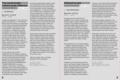### **The world looks indeed quite different**

Master class

by **Els Dietvorst**

**Mon 26.10 – Fri 30.10**  $10:00 - 18:00$ 

"Ladies and Gentlemen. The world looks indeed quite different." In 1974 Joseph Beuys wrote this sentence in white chalk on one of the one hundred blackboards in his installation 'Directive forces (of a new society). Today again (or still?) our society is in a deep crisis, facing unexpected, new, exciting challenges. Everything calls for change. Creativity is a basic characteristic of our being and can create change. Where do we find models to make our art in this new future? What do we create in order to make connections, to make a difference? Following Beuys we will find it in the social realm where we reconnect with primal social gestures and collective desires, needs and values.

For this master class and the collaboration we will engage in together, I will source from my own practice to invite you into a collective process of artistic research and mutual learning. Inspired by Beuys my work's fundaments are based on INTUITITION-IMAGINATION-TRANSFORMATION. A recurring question in my practice concerns the ecological. How can we move towards a more ecological practice? Ecological here meaning fluid, in and with nature as a driving power and inspiration that makes movements and currents possible.

During this experimental research week you will befriend the thin line between art and life where art becomes a place for communication, desire, exchange and engagement. You will learn the tools how to create freely, unattached to form and connected to your artistic soul. By creating small rituals we come closer to express the inner nature of things. It will lead us to questions as: How can we stimulate a new ethical awareness from an aesthetic point of view and stimulate new knowledge formation? What are the skills you need? How do I, as an artist connect to the world and what do I find necessary to share? How can we collectively share and create?

Guest artists during this week are Sadrie Alves, Stefania Assandri, Flor Maesen and Yi & Honey. They are the group of former master students whom I worked with for the solo exhibition 'Dooltocht/A desperate quest to find a base for hope' in M HKA. For this show I engaged in a deliberate collaboration with (former) master students of the Academy to recreate and re-make all my work. Every day we receive a challenge from them. On Friday we will reflect on the results of the previous days.

After this master class a 16-Page Notebook will be completed.

For master students Language: English Venue: Academy (Tempel) More information on ap-arts.be

### **Difficult to see**

Master class

by **Vijai Patchineelam**

**Mon 26.10 – Fri 30.10** 10:00 – 18:00

Engaging with the world from the perspective of a creator of images has multiple angles, requires different ways of seeing. One possible angle is to research multiple ways of seeing from the notion of film. Between ciné-club and reading group, this 5-day working week develops from daily film screenings complemented with sessions of collective readings and discussions. The intention of the master class is not a discussion on film as a medium, rather through film engage critically with larger societal issues.

Mixing different forms of being together — reading, viewing, discussing — gives emphasis to learning through peers, by way of sharing, accumulating and comparing different experiences. The attempt is to move towards a space for an active, critical and collective viewing experience. In other words, different ways of seeing informed by each other's perspective.

Together we will read texts by authors such as bel hooks, Gayatri Chakravorty Spivak, Susan Sontag, Paulo Freire and others. And delve into film movements such as: Parallel Cinema (India), Yugoslav Black Wave Cinema, New Argentine Cinema, Marginal Cinema (Brazil), LA Rebellion (United States of

America), The School of Reis (Portugal), amongst others. We will look critically into the problematics that arise in the process of portraying/documenting others and later the projection of that image. Before the the start of the week the program for each day will be communicated to the participants, along with a preparatory reading list.

We'll tackle together (possibly in the presence of guest teachers) issues such as: being together in our differences; the relations we establish while looking; developing a viewing relation with the cinematic context that takes into account what is present and what is absent.

Participants will take up an active role in the daily programme of the master class. While the mornings are dedicated to the collective readings of selected texts, after lunch we will proceed with the screening of selected films. Concluding each day with a discussion led by one of the participants taking turns in rounding up and developing further the main questions brought up during the activities of that day. In order to do so, it is important that the participants in charge with this role pay extra attention during the reading and screening sessions, by taking notes for example, which later can serve as a guide for the discussion.

For master students Language: English Venue: Academy (Lokaal Cinema) More information on ap-arts.be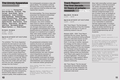### **The Unruly Apparatus** Exhibition

with works by **Thomas Ruff**, **Sine Van Menxel**, **Ine Kools**, **Filip Vervaet**, **Bram Rinkel**, **Spiros Hadjadjanos**, **Anton Cotteleer**, **Elias Asselbergh**, **Walead Beshty**, **Fabien Silvestre Suzor**, **Athar Jaber**, **Liesbet Grupping**, **Bernard Voïta**, **Aglaia Konrad**, **Kaat Somers**, **Azuli Peeters**, **Geert Goiris**, **Alix Manon**, **Seth Price**, **Bernadette Zdrazil**, **Miguel Cipriano** and **Wade Guyton**

#### **Fri 16.10 – Fri 30.10**

 $11:00 - 18:00$ Sunday closed

**Sat 31.10** ANTWERP ART NOCTURNE 12:00 – 21:00

The exhibition 'The Unruly Apparatus' presents the end result of a six-month research project at the Royal Academy of Fine Arts Antwerp, by Anton Cotteleer, Geert Goiris and Steven Humblet. The research project brought together a group of eleven young researchers to map out the possible meeting points between sculpture and photography and to react to them in a visual way. Where do these two practices meet, where do they come into conflict with each other and how can new, challenging work emerge from this friction?

The finished works show exactly what this process of mutual contamination has led to: photographs lose their transparency, become sturdy objects or acquire a sculptural quality, while sculptures arise

from photographic processes or play with optical effects. The exhibition confronts the works of the young researchers with some reference works by artists who have inspired their research.

De tentoonstelling 'The Unruly Apparatus' presenteert het beeldend eindresultaat van een zes maanden durend onderzoeksproject aan de Koninklijke Academie van Schone Kunsten Antwerpen, door Anton Cotteleer, Geert Goiris en Steven Humblet. Het onderzoeksproject bracht een groep van elf jonge onderzoekers samen om de mogelijke ontmoetingspunten tussen beeldhouwkunst en fotografie in kaart te brengen en er beeldend op te reageren. Waar raken beide praktijken elkaar, waar komen ze met elkaar in conflict en hoe kan uit die frictie nieuw, uitdagend werk ontstaan?

De gerealiseerde eindwerken tonen waartoe dit proces van wederzijdse besmetting precies heeft geleid: foto's verliezen hun transparantie, worden stugge objecten of krijgen een sculpturale kwaliteit, terwijl beeldhouwwerken dan weer ontstaan vanuit fotografische processen of spelen met optische effecten. De tentoonstelling confronteert de werken van de jonge onderzoekers met enkele referentiewerken van kunstenaars die hun onderzoek hebben geïnspireerd.

Venue: Academy (Lange Zaal, entrance Venusstraat 34) Free admission, advanced registration is not required

Soup Safe Sessions – Guided Walk in the exhibition: Tue 27.10, 12:30 – 14:00, by Steven Humblet, Geert Goiris, Anton Cotteleer

### **Track Report: The first decade. 10 Years of artistic research** Reading room

**Mon 26.10 – Fri 30.10**  $11:00 - 18:00$ 

**Sat 31.10** ANTWERP ART NOCTURNE 12:00 – 21:00

With 'Track Report: The first decade', the Royal Academy of Fine Arts Antwerp presents an overview of 10 years of publishing research in/as art.

Between 2009 – 2020, Track Report published fifty-four issues. Spanning from rather conventional looking textbook editions to alternative bearers as foldout posters and vinyl records: all of them, in one way or another, represent the strategy and the status of artistic research being conducted in and around the Royal Academy of Fine Arts Antwerp. The red thread running throughout all these publications is their materiality and plasticity. Being printed and distributed, Track Report goes against the tendency of radical digitization. This physical embodiment of edgy research reflects also the status of the Academy as a research community.

Met 'Track Report: The first decade' presenteert de Koninklijke Academie voor Schone Kunsten Antwerpen het overzicht van tien jaar publiceren van onderzoek in/als kunst.

Maar liefst vierenvijftig nummers zagen tussen 2009 en 2019 het levenslicht. Van eerder conventioneel ogende readers tot alternatieve dragers zoals uitvouwbare posters en vinylplaten: allemaal vertegenwoordigen ze op een of andere manier de strategie en de status van artistiek onderzoek in en rond de Koninklijke Academie voor Schone Kunsten Antwerpen. De rode draad doorheen al deze publicaties is hun materialiteit en plasticiteit. Hiermee ingaand tegen de tendens tot radicale digitalisering, vormt Track Report de fysieke belichaming van scherpzinnig onderzoek en van de onderzoeksgemeenschap aan de Academie.

Venue: Academy (Venushal, entrance Venusstraat 34) Free admission, advanced registration is not required

All Track Report publications are available for sale in the bookshop at the library of the Academy (entrance Mutsaardstraat 31). During the ANTWERP ART NOCTURNE, a temporary bookshop will be installed in the hall of the Academy.

#### PRESENTATION OF NEW TRACK REPORT PUBLICATIONS

TR19/06 'PLANO B' by Vijai Patchineelam Tue 27.10, 00:00 – 01:30, at Het Bos

TR20/02 'Singer Featherweight' by LEAP/DETACH Tue 27.10, 20:30 – 21:30, at Het Bos

TR20/03 'Naughty Kids. Punk in Antwerp' Sat 31.10, 12:00 – 21:00, at Academy (Wintertuin)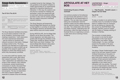### **Soup Safe Sessions**

Open(air) dialogues for

and by researchers

#### **Tue 27.10 & Thu 29.10**

| Tue 27.10      |                                                                                    |  |
|----------------|------------------------------------------------------------------------------------|--|
| 12:30<br>14:00 | Soup Safe Session hosted by Steven<br>Humblet, Geert Goiris and Anton<br>Cotteleer |  |
| Thu 29.10      |                                                                                    |  |
| 12:30<br>14:00 | h hosted by Els<br>Soup<br>Diet<br>postponed<br><i>i</i> Touloumidi                |  |

The Soup Sessions facilitate encounters for, by and about research in the arts at the Academy. During these lunch meetings researchers – both newcomers and more experienced researchers – get the chance to introduce their research process to their peers. Dialogue is always central to this. The Soup Sessions are intended as an opportunity for researchers to make as direct use as possible of the research capital of the Academy to which they belong and to which they themselves contribute.

In a one-and-a-half hour session, two researchers talk to each other about their research practice. There are no 'rules': researchers can elaborate on the scope of their research, their methods or processes, present (preliminary) conclusions or results, document their practice through images or tell about obstacles they encounter, their doubts and progress. The duo of researchers who host a session together, are expected to prepare soup and develop

a suitable format for their dialogue. The only guideline is the explicit invitation to create opportunities for an experimental approach to inquisitive listening and interaction. In this way, the sessions can not only be a moment for meeting and exchange in which the researchers get to know each other(s) practice(s) better, but there is also room for sharing insights that can support everyone's individual research practice.

The Soup Sessions will temporarily become Soup Safe Sessions as sharing a meal together is currently not allowed. The dialogue sessions will therefore take place without soup and mostly outside.

During ARTICULATE, the first Soup Safe Session will be about the project 'The Unruly Apparatus' and takes place as a guided walk through the exhibition in the Lange Zaal. Hosted by Steven Humblet, Geert Goiris and Anton Cotteleer. The second Soup Safe Session takes place in the Tempel and is hosted by Els Dietvorst and Vivi Touloumidi.

Language: English Venue: Academy (Tempel, Lange Zaal) Free admission, advanced registration is not required

### **ARTICULATE AT HET BOS**

**Celebrating 40 years of Radio Centraal!**

It is common practice to find alliances and join forces with partners-in-crime to collaborate for the dissemination of research. This can take many shapes taking into consideration what the research needs and the added exposure that an external context, location or event can offer. The collaboration with Het Bos and Radio Centraal, celebrating their 40<sup>th</sup> anniversary, offers the ideal occasion to illustrate this by co-organising a concert, a radio show and an evening of Extra Academy.

#### **LEAP/DETACH** – **Singer Featherweight**

Concert & release new album

by **Vitja Pauwels**, **Hendrik Lasure** & **Casper Van De Velde**

#### **Tue 27.10** 20:30 – 21:30

To play on location is an activity that is currently more of a normality for football teams or toddlers than for musicians, but we are taking our chances with this concert by LEAP/DETACH (Vitja Pauwels, Hendrik Lasure & Casper Van De Velde) on Tuesday evening 27 October in Het Bos.

The occasion is doubly festive: this concert is not only the album presentation of the most recent Track Report vinyl edition 'Singer Featherweight', it is also a birthday present for the jubilee of 40 years of Radio Centraal from behalf of the Academy.

The album 'Singer Featherweight' is the result of the two-year research project 'Artificial Extensions of Acoustics' at the Conservatoire. The trio of guitar, piano and drums wanted to explore the richness of their personal instruments in terms of timbre, time and form, regardless of any means and in interaction with one another. The result is a mix of improvisation and métier, of transience and deepening that is bound to get under your skin, also live.

Venue: Het Bos (Ankerrui 5/7) Free admission, but limited places – advanced reservations via www.hetbos.be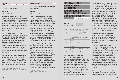#### **Plano B**

Live radio show & album launch

#### by **Vijai Patchineelam**

#### **Tue 27.10**

00:00 – 01:30

'Plano B' opened in 2003 in the neighbourhood of Lapa, Rio de Janeiro. A vinyl shop during the day and a cultural space of sorts over the weekend, 'Plano B' housed concerts, performances, talks, screenings, etc. by numerous artists from Brazil and abroad. Over the course of ten years it fomented an alternative music scene in Rio.

For a couple of years now, Vijai Patchineelam has worked with Fernando Torres on his archive of over 300 live recorded shows that were held in the shop between 2004 and 2013, when the space closed. Their ongoing collaboration has so far resulted in a double album of these recordings as a way of communicating what 'Plano B' was and to leave some trace of it for the current experimental music scene in Rio and beyond.

The album launch at the radio program 'Atelier Central' will bring together artists who've performed at 'Plano B', back when it was still active. Continuing with the collaborative ethos of 'Plano B' and in line with the spirit of Radio Centraal.

Venue: Bosbar – Het Bos (Ankerrui 5/7) On air: Radio Centraal 106.7 FM Online streaming: radiosonline.be/centraal/

with guest **Radio Centraal / Daniel de Botanicus**

**Extra Academy** Talk

#### **Thu 29.10** 19:00 – 20:30

Extra Academy organizes an open program of lectures, performances, workshops and screenings around artistic practice, reflection and research. The platform that it offers, is one where participants become acquainted with practices and visions that are hardly or not at all addressed in the media or art education. In this way Extra Academy aspire to create a much broader picture of the stratification and rich complexity of what contemporary artistic practice can mean in dialogue with, among other things, art-historical, socio-political, philosophical and economic implications.

During ARTICULATE Extra Academy invites Radio Centraal as guest with Daniel de Botanicus as spokesman. A fixture in the Antwerp underground and on the airwaves, Radio Centraal will blow out forty (!) candles this year. The idea, model and approach of Radio Centraal are perhaps more relevant than ever given the current zeitgeist: fully independent radio skilfully made and financed by the programme makers, mostly Antwerp musicians and artists. During this Extra Academy, Radio Centraal will explain the birth of this special musical alliance forty years later.

Language: English Venue: Het Bos (Ankerrui 5/7) Free admission, advanced reservations via www.hetbos.be

### **BAUHAUS 101 – EXPANDING ACADEMY Experiments in Higher Arts Education and Research**

Discussion evening

### **Wed 28.10** 17:30 – 19:30 **postponed**

| 17:30 | Introduction by Johan Pas (dean,<br>art historian, researcher)                                             |
|-------|------------------------------------------------------------------------------------------------------------|
| 17:40 | Propositions for 'DE PARKING'<br>by Students In Situ Department                                            |
| 17:50 | 'BAUHAUS: paradoxes exposed'<br>by Inge Henneman (art historian,<br>researcher)                            |
| 18:30 | <b>Break</b>                                                                                               |
| 18:40 | 'Expanding Academy' by Nico<br>Dockx (artist, researcher) and<br>Judith Wielander (curator,<br>researcher) |
| 19:00 | Conversation on Art Education +<br>Q&A                                                                     |
| 19:30 | Round-up & conclusion                                                                                      |

The central question during this ARTICULATE research days is: "Can artistic research contribute to imagining new perspectives, now that our way of life is shaken up?". These new perspectives can highlight a multitude of themes, both socially as within the arts or in the field of art education and present – not coincidentally – the topics that the research project 'Expanding Academy' endeavours to deal with in practice, with the aim of arriving at new forms of art education.

During this evening, we will make a leap from the present to the past and future and enter into a dialogue about old and new models, about urgent and long-term needs for our art education. The evening starts in the 'now', with an introduction by Johan Pas and the project 'DE PARKING' by In Situ and will continue with an exploration of the BAUHAUS model. The agenda for the discussion after the break is to explore alternative future approaches of our Antwerp academy. All participants invited to explore the potential of the initiative 'Expanding Academy', that tackles education as research, as artistic practice, as a critical position in the world, and to enter into dialogue about this.

All master students are expected to attend. Ideally, their input and that of other students, lecturers, researchers and other staff members and those involved will be the guiding thread of the conversation.

De centrale vraag tijdens deze ARTICULATE research days luidt: "Kan artistiek onderzoek bijdragen aan het verbeelden van nieuwe perspectieven, nu onze manier van leven door elkaar wordt geschud?". Die nieuwe perspectieven kunnen een veelheid van thema's uitlichten, zowel maatschappelijk als binnen de kunsten of op het vlak van kunstonderwijs. Niet toevallig zijn dit de thema's waar het onderzoeksproject 'Expanding Academy' in de praktijk mee aan de slag gaat om tot nieuwe vormen te komen.

Tijdens deze gespreksavond maken we een sprong van heden naar verleden en toekomst en gaan we in dialoog over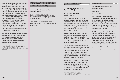oude en nieuwe modellen, over urgente en lange-termijnbehoeften voor ons kunstonderwijs. De avond start in het 'nu' met een introductie door Johan Pas en het project 'DE PARKING' van In Situ en vervolgt met een verkenning van het BAUHAUS-model. Onderwerp van de discussie na de pauze is het verkennen van alternatieve toekomstgerichte benaderingen voor onze Antwerpse academie. Alle aanwezigen worden uitgenodigd om het potentieel te verkennen van het initiatief 'Expanding Academy', dat onderwijs aanpakt als onderzoek, als artistieke praktijk, als een kritische positie in de wereld en om hierover in dialoog te treden.

Alle master studenten worden verwacht aanwezig te zijn. Hun inbreng en die van andere studenten, docenten, onderzoekers, medewerkers en betrokkenen vormt idealiter de rode draad door het gesprek.

Language: English and Dutch Venue: Academy (Atelier Beeldhouwkunst, entrance Parking Blindestraat) Free admission, advanced registration is not required

### **Initiatives for a futureproof Academy**

by **Educational Master of the Academy (EMA)**

During ARTICULATE, the EMA will put two projects in the spotlight by means of targeted actions.

Door middel van gerichte acties zet de EMA tijdens ARTICULATE twee projecten in de kijker.

| <b>ON/OFF: Towards an Adaptive</b> |                |  |
|------------------------------------|----------------|--|
| <b>Academy</b>                     | Kick-off event |  |

by **Educational Master of the Academy (EMA)** 

**Mon 26.10 & Tue 27.10**  $12:00 - 14:00$ 

From the shocking transition from physical to digital lessons a lot can be learned about the essence, adaptation and expansion of artistic and theoretical education. The EMA searches for what 'adaptive learning', 'blended learning' and 'hybrid learning' can mean for an art school in the year 2021.

With the kick-off of ON/OFF, the EMA invites all teachers, researchers and students of the academy to actively contribute to the development of a futureproof educational model, based on personal experiences.

Uit de recente schoksgewijze overgang van fysieke naar digitale lessen valt heel wat te leren over de essentie, adaptatie en expansie van artistiek en theoretisch onderwijs. De EMA zoekt in dit project naar wat 'adaptief leren', 'blended learning' en 'hybrid learning' kunnen betekenen voor een kunstschool anno 2021.

Met de kick-off van ON/OFF nodigt de EMA alle docenten, onderzoekers en studenten van de academie uit om, vanuit persoonlijke ervaringen, actief bij te dragen aan de ontwikkeling van een future-proof onderwijsmodel.

Language: English and Dutch Venue: Academy (the corridor) Free admission, registration is not required

#### **De Biechtstoel Action**

by **Educational Master of the Academy (EMA)** 

#### **Mon 26.10**

 $11:00 - 14:00$ 

The EMA invited the collective 'de Zendelingen' to park their Confessional at the academy in order to gauge experiences regarding diversity and inclusion. The results of the discussions will be taken into account in the development of a diversity and inclusion policy for school contexts.

De EMA nodigde het collectief 'de Zendelingen' uit om hun Biechtstoel op de academie te parkeren om te peilen naar ervaringen i.v.m. diversiteit en inclusie. De resultaten van de gesprekken worden meegenomen in de ontwikkeling van een diversiteits- en inclusiebeleid voor schoolcontexten.

Language: English and Dutch Venue: Academy (the corridor) Free admission, registration is not required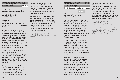### **Propositions for 'DE PARKING'** Project

by **students In Situ Academy** & **students Architecture UAntwerp**

**Mon 26.10 – Fri 30.10** Continuously

#### **Wed 28.10** 17:30

Presentation during the discussion evening 'BAUHAUS 101 – EXPANDING ACADEMY'

Just like in previous years, at the start of this academic year, the In Situ department will put its students to work on a shared assignment. During one month, all In Situ bachelor and master students – in close collaboration with master's students of Architecture at the UAntwerp – will collectively work on the sustainable development possibilities of the outdoor space commonly referred to among Academy users 'the parking'.

During ARTICULATE, their results – scale models, 1/1 models – can be seen inside and outside. In the spirit of BAUHAUS 101 and as an addition to the 'MAKING MUTSAARD' process, this project has the ambition of turning the Academy – as a space and as a school – inside out.

Naar goede gewoonte zette de afdeling In Situ ook bij de start van dit academiejaar al haar studenten aan het werk rond een gedeelde opdracht. Een maand lang buigen alle bachelor en masterstudenten van de opleiding, in samenwerking met masterstudenten Architectuur van de UAntwerpen, zich collectief over duurzame ontwikkelingsmogelijkheden van de buitenruimte die onder Academiegebruikers gemeenzaam 'de parking' wordt genoemd.

Tijdens ARTICULATE zijn hun resultaten – schaalmodellen, 1/1 modellen – te zien, binnen en buiten. Met BAUHAUS 101 in het achterhoofd en als aanvulling bij het proces 'MAKING MUTSAARD' hebben de opleiding In Situ en de architectuuropleiding de ambitie om met dit project de academie als school binnenstebuiten te keren.

Venue: Academy (Parking Blindestraat & central entrance hall) Free admission, advanced registration is not required

### **Naughty Kids – Punk in Antwerp**

Book launch & film screening

**postponed**

**Sat 31.10**

ANTWERP ART NOCTURNE 12:00 – 21:00

Two years after 'Naughty Kids. Punk in Antwerp' (2018), the Royal Academy of Fine Arts and Track Report present a book that documents this remarkable exhibition. Through installation shots of the exhibited photographs, printed matter, works of art, music, clothing, punk paraphernalia and living witnesses, the publication brings the impact of punk, post-punk, New Wave and neopunk in Antwerp into the picture.

During the event, the documentary film 'Anarchy & Attitude. Punk in Antwerp 1980-1990' (2018) by Christine Clinckx will be screened in loop. For this film Clinckx, once a member of the Antwerp Punk community herself, interviewed punk musicians, artists, designers and other rebels about their anarchist years in Antwerp.

Twee jaar na 'Naughty Kids. Punk in Antwerpen' (2018) presenteert de Koninklijke Academie voor Schone Kunsten en Track Report een boek dat deze opmerkelijke tentoonstelling documenteert. Aan de hand van installatieshots van de tentoongestelde foto's, drukwerk, kunstwerken, muziek, kleding, punkparafernalia en getuigenissen, brengt de publicatie de impact van punk, post-punk, New Wave en neopunk in Antwerpen in beeld. Tijdens het evenement wordt de documentaire film 'Anarchy & Attitude. Punk in Antwerp 1980-1990' (2018) van Christine Clinckx doorlopend getoond. Voor deze film interviewde Clinckx, ooit zelf lid van de Antwerpse Punk gemeenschap, muzikanten, kunstenaars, ontwerpers en andere rebellen over hun anarchistische jaren in Antwerpen.

Screening 'Anarchy & Attitude. Punk in Antwerp 1980-1990' Language: English and Dutch Location: Academy (Wintertuin, entrance Venusstraat 34) Free admission, registration is not required

Publication 'Naughty Kids. Punk in Antwerp' During the ANTWERP ART NOCTURNE, a temporary bookshop will be installed in the hall of the Academy. Also for sale in the Track Report bookshop at the library of the Academy (entrance Mutsaardstraat 31).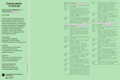### **Conservatoire 11-13.11.20**

#### **ARTICULATE | BAUHAUS 1 0 1 research days**

#### WELCOME!

On this side of the brochure you will find the program of ARTICULATE at the Royal Conservatoire Antwerp. In order to accommodate our multilingual audience of students and researchers, all practical information is published in English. Content information is provided in Dutch and/or English, depending on the language in which the activity takes place.

#### LOCATIONS

Conservatoire (deSingel): Desguinlei 25, 2018 Antwerp Check the sessions for the exact venue.

#### **TICKETS**

Free admission to all activities. For most sessions at the Conservatoire, it is mandatory to register in advance.

#### COVID-19

Before your visit, check the most recent Covid-19-guidelines on www.ap-arts.be/articulate

MORE INFORMATION art&research@ap.be www.ap-arts.be/articulate FB artandresearchantwerp

| :hant |  |  |
|-------|--|--|
|       |  |  |
|       |  |  |

Koninklijk Conservatorium Antwerpen

| AP   AP HOGESCHOOL |  |
|--------------------|--|
|--------------------|--|

| rvatoire                                        |  |                    | WEDNESDAY 11 NOVEMBER<br>canceled                                                                                                                                                         | 20:00<br>20:30     | Lecture-concert 'Groupies', by<br>Thomas M. Moore, with Hugo Ranilla,<br>Pieter Matthynssens, Mar Sala                                                                            |  |
|-------------------------------------------------|--|--------------------|-------------------------------------------------------------------------------------------------------------------------------------------------------------------------------------------|--------------------|-----------------------------------------------------------------------------------------------------------------------------------------------------------------------------------|--|
| 3.11.20                                         |  | 14:00<br>19:00     | Installation 'Sonopariete', by Umut<br>Eldem $(p. 4)$                                                                                                                                     |                    | Romagosa, Yassine Posman, Tim<br>Courtyn, Alejandro Tentor, Wim<br>Pelgrims, Taha Posman, Bert                                                                                    |  |
| AUHAUS 1 0 1<br>canceled                        |  | $15:00 -$<br>17:30 | Research Seminar ARIA 'Gesture,<br>interdisciplinarity and new<br>technologies', initiated by Alireza<br>Farhang, with Ine Vanoeveren, Diemo                                              |                    | Koether, Arne Torfs, Cézanne Van de<br>Voorde, Emma Wills, Emma Zoons and<br>Nico Couck (p. 11)                                                                                   |  |
| brochure you will                               |  | $19:30 -$          | Schwartz, François Paris, Pieter-<br>Jan Maes, HERMESensemble, Bruno<br>Boulzaguet (p. 5)<br>Concert 'Chuchotements burlesques',                                                          | $21:00 -$<br>21:30 | Concert & video 'Octopus', by<br>Geoffa Fells, with Ine Vanoeveren,<br>Marcelo Lazcano, Thomas Moore, Umut<br>Eldem, Kate Smith, THAT! Ensemble,<br>Bob Payne (p. 12)             |  |
| f ARTICULATE at<br><i>r</i> atoire Antwerp. In  |  | 20:30              | by Alireza Farhang (HERMESensemble)<br>Round Table, with Pieter-Jan Maes,<br>HERMESensemble, Bruno Boulzaguet,<br>Alireza Farhang (p. 5)                                                  | $22:00 -$<br>22:30 | Concert 'Soundvision', by Max<br>Schweder (p. 13)                                                                                                                                 |  |
| date our multilingual<br>nts and researchers,   |  |                    |                                                                                                                                                                                           |                    | FRIDAY 13 NOVEMBER<br><b>canceled</b>                                                                                                                                             |  |
| ation is published<br>t information is          |  | $10:00 -$          | canceled<br>THURSDAY 12 NOVEMBER<br>. Lecture-recital 'Partimento: the                                                                                                                    | 11:00<br>16:00     | Installation 'Sonopariete', by Umut<br>Eldem $(p. 4)$                                                                                                                             |  |
| and/or English,<br>language in which<br>)lace.  |  | 11:30              | basic training of the Italian<br>composer-improvisor in the 18th<br>century', by Ewald Demeyere (p. 6)<br>Concert 'Unfinished Business', by<br>Jeroen Malaise and Karel Stulens<br>(p. 7) | $13:00 -$<br>15:00 | Concert & lecture 'Jacqueline<br>Fontyn', by Pauline Lebbe, Hannah<br>Aelvoet, Vlad Weverberg, Adilia<br>Yip, Astrid Espinosa Bordón, Jorge<br>Rodriguez, Ricardo Lievano Flores, |  |
|                                                 |  | $11:00 -$<br>16:00 | Installation 'Sonopariete', by Umut<br>Eldem $(p. 4)$                                                                                                                                     |                    | in the presence of Jacqueline<br>Fontyn $(p. 13)$                                                                                                                                 |  |
| Singel):<br>8 Antwerp<br>s for the exact venue. |  | $12:00 -$<br>13:00 | Concert 'Locked in Live', by Ine<br>Vanoeveren (p. 7)                                                                                                                                     | $15:30 -$<br>16:00 | Open lecture / Workshop<br>presentation 'INCORPorated', by<br>Winnie Huang (p. 14)                                                                                                |  |
|                                                 |  |                    | . Concert 'Conrelius Cardew,<br>Treatise', by Marco Fusi (p.8)                                                                                                                            | $17:00 -$<br>17:30 | Lecture & book launch 'ArtInAD:<br>methods for artistic integrated                                                                                                                |  |
| all activities.                                 |  | $13:00 -$<br>14:00 | Lecture-performance 'Exploring<br>new dramaturgical codes in<br>contemporary music theatre                                                                                                |                    | audio-description', by Max Greyson<br>(p. 14)                                                                                                                                     |  |
| at the<br>s mandatory to                        |  |                    | creation', by Lies Colman, Gaea<br>Schoeters, Annelies Van Parys and<br>Els Mondelaers (p.8)                                                                                              | $19:00 -$<br>19:30 | Lecture-performance 'What is<br>reading? What is performing?:<br>Phase 1', by Stefania Assandri and<br>Renata Lamenza Epifanio (p. 15)                                            |  |
|                                                 |  | $14:00 -$<br>14:30 | Active lecture 'The Singer Inside<br>Out', by Katrien Van Opstal, with                                                                                                                    | $20:00 -$          | Lecture-performance 'Vincent Van                                                                                                                                                  |  |
| heck the most:<br>uidelines on                  |  | $14:00 -$          | Vanessa Matthys and Hendrik<br>Braeckman (p. 9)                                                                                                                                           | 21:00              | Meenen's Surrealistisch<br>Spuitwatersalon nr. 2', by Vincent<br>Van Meenen and Bob Vanden Broeck                                                                                 |  |
| ticulate                                        |  | 14:30              | Concert 'Trombonemuziek in het<br>Antwerpse Conservatorium', by Bram<br>Fournier & Yasuko Takahashi (p.9)                                                                                 | $21:00 -$          | (p. 15)<br>Music theatre performance 'Ik Werk                                                                                                                                     |  |
| TION<br>be                                      |  | $15:00 -$<br>16:00 | Lecture & live showcase<br>'Choreographing potentialities of<br>collectivity', by Tuur Marinus (p.10)                                                                                     | 22:00              | Zo Geire', by Teletext (p. 16)                                                                                                                                                    |  |
| Pascale De Groote<br>ticulate<br>nantwerp       |  | $19:00 -$<br>19:30 | Try-out concert 'Anthony Braxton's<br>"Echo Echo Mirror House Music"', by<br>Kobe Van Cauwenberghe, with Steven<br>Delannoye, Niels Van Heertum,                                          |                    |                                                                                                                                                                                   |  |
| V.U.<br><b>:onservatorium</b>                   |  |                    | Hampus Lindwall, Carl Testa (p. 10)                                                                                                                                                       |                    |                                                                                                                                                                                   |  |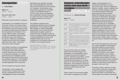### **Sonopariete** Installation

by **Umut Eldem**

**Wed 11.11**  $14:00 - 19:00$ 

**Thu 12.11 & Fri 13.11**  $11:00 - 16:00$ 

What does music look like on a canvas?

'Sonopariete' is an installation that turns music into visuals on an empty canvas, projected on a wall. Anyone can come to the installation and start making soundsa computer program takes the input from the microphone and transforms it into visuals. Different notes, instruments, sounds, and melodies create all kinds of different colours and shapes on the canvas. Inspired by synaesthetes -people who see colours and shapes when they hear music-, everyone is welcome to come and paint!

Umut Eldem's research on synaesthesia explores how the senses combine in the artistic world. With artistic and scientific experiments on the nature of our audiovisual perception, he creates performances and installations where the visual and aural world combine into a synaesthetic experience. This installation is a part of his exploration of turning the musical experience into a visual one.

Hoe ziet muziek eruit op een canvas?

'Sonopariete' is een installatie die muziek omzet in visuals op een leeg canvas, geprojecteerd op een muur. Voorbijgangers kunnen de installatie uitproberen door geluiden te maken. Een computerprogramma neemt de input van de microfoon over en zet deze om in beelden. Verschillende noten, instrumenten, geluiden en melodieën creëren verschillende kleuren en vormen op het canvas. Geïnspireerd door synestheten (mensen die kleuren en vormen zien als ze muziek horen), is iedereen welkom om te komen schilderen!

Umut Eldems onderzoek naar synesthesie exploreert hoe de zintuigen samenkomen in de artistieke wereld. Met artistieke en wetenschappelijke experimenten over de aard van onze audiovisuele perceptie, creëert hij performances en installaties waarin de visuele en auditieve wereld samenkomen in een synesthetische ervaring. Deze installatie maakt deel uit van zijn onderzoek om de muzikale ervaring om te zetten in een visuele ervaring.

Language: English and Dutch Venue: Conservatoire (deSingel Zwarte Foyer) Free admission, registration is not required / 10 participants at the same time in the installation

### **Gesture, interdisciplinarity and new technologies**

Research Seminar ARIA

#### initiated by **Alireza Farhang**

#### **Wed 11.11**

 $15:00 - 20:30$ 

| 15:00<br>15:30     | Lecture 'Accessible tools as a way<br>for interdisciplinairy development',<br>by Ine Vanoeveren |
|--------------------|-------------------------------------------------------------------------------------------------|
| 15:40<br>16:10     | Lecture 'Tangible and Embodied<br>Interaction with a Corpus of<br>Sounds', by Diemo Schwartz    |
| 16:20<br>16:50     | Lecture 'Composer Desk', by François<br>Paris                                                   |
| 17:10<br>17:30     | Interactive presentation, by Pieter-<br>Jan Maes, Tim Vets, Alireza Farhang                     |
| 19:30<br>20:00     | Concert 'Chuchotements burlesques',<br>by Alireza Farhang (HERMESensemble)                      |
| $20:00 -$<br>20:30 | Round table with Pieter-Jan Maes,<br>HERMESensemble, Bruno Boulzaguet,<br>Alireza Farhang       |

This event has a focus on notation, gesture and new technology in the composition of interdisciplinary works. Through this event that consists of lectures, interactive presentation, roundtable as well as the performance of 'Chuchotements burlesques', an entire piece for an actor, three musicians and electronics, we will attempt to study the notational strategies and motion capture that are brought forward with new technologies.

Today, thanks to the new technologies we are able to engage all our senses

deeply in the perception of our environment that figures in music, sound and image. Thus the relationship between concept, notation, repetition and work was radically redefined; resulting in the draft processes themselves becoming autonomous artworks. Digital technologies have given rise to new forms of expressivity, allowing art and science to enter into a symbiotic relationship, hence an erosion of the conventional boundaries between different branches of art. Nowadays artists navigate flexibly between music and theatre, video and dance, in order to express more complex ideas. The logical manifestation of this is closer collaboration between artists; hence, there is a real and practical need for a lingua franca between artistic disciplines such as music, theatre, dance, as well as performances, installations and digital art.

One of the main objectives of this event is to create a platform of exchange for theoretical reflections and empirical attempts. The specialised musicians of the Antwerp based ensemble, HERMES, will feature a new version of a transdisciplinary work, entitled 'Chuchotements burlesques', which is considered as the outcome of the two years research project that the composer Alireza Farhang carried out during his residency in the Royal Conservatoire of Antwerp in 2018 and 1019.

The event is public. However, through a call, artists, composers, researchers, as well as students of composition, dance and theatre of universities and conservatoires are invited to participate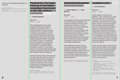actively in the interactive presentation of the event.

Language: English Venue: Conservatoire (deSingel Gele Zaal & Witte Zaal) Free admission, but registration required

### **Partimento: the basic training of the Italian composer-improvisor in the 18th century**

Lecture-recital

#### by **Ewald Demeyere**

**Thu 12.11**  $10:00 - 11:00$ 

How did eighteenth-century Italian composer-improvisers manage to produce so much good music so quickly and easily? Long surrounded by mystery, this is a question to which a more concrete answer can now be given. Recent research has shown that partimento was at the origin of this craft. Giorgio Sanguinetti defines a partimento as "a sketch, written on a single staff, whose main purpose is to be a guide for improvisation of a composition at the keyboard." And thanks to Ewald Demeyere's research, it is now known exactly how maestro Fedele Fenaroli gave shape to his partimento method, research that resulted in various publications.

During this lecture recital, Demeyere will not only explain the method as such, on the basis of partimenti by Alessandro Scarlatti, Franceso Durante, Fedele Fenaroli and Giacomo Tritto, but also illustrate how it eventually resulted in actual keyboard compositions, albeit written in shorthand.

Language: English

Venue: Conservatoire (deSingel Witte Zaal) Free admission, but registration required

### **Unfinished Business**

Concert

by **Jeroen Malaise** and **Karel Stulens**

**Thu 12.11**  $11:00 - 11:30$ 

A composition that has just been finished can be dismantled immediately. This creates new elements which are then used again to compose. A circular process starts in which the relationship between element and whole is rediscovered over and over again. Can something be really finished? Or may something never be finished and is this process just a motive to create? Jeroen Malaise (grand piano) and Karel Stulens (electronics) duel and engage in dialogue in search of this circular improvisational adventure.

Jeroen Malaise's research focuses on the daily study practice of the first generation of pianists. This practice contained essential elements in the form of exercises that were indispensable in an artistically creating process and formed a trail throughout the training of a pianist-composer.

Venue: Conservatoire (deSingel Witte Zaal) Free admission, but registration required

### **Locked in Live** Concert

by **Ine Vanoeveren**

**Thu 12.11**  $12:00 - 12:30$ 

Virtual creations in the time of a pandemic. This is not the title of a new novel, but reality for most musicians and artists. The corona crisis has farreaching consequences for the cultural sector. 'Normal' concerts and projects were completely swept off the table. Time for creative solutions! During the lockdown, contemporary flautist Ine Vanoeveren searched for meaningful collaborations with composers from all over the world. Virtual creations offer a lot of advantages, but unfortunately also a whole range of frustrations: from slow internet connections to video recordings being interrupted by the cat: it is all part of 'our new normal'.

But this has also been a very enriching period, with the creation of new pieces that would never have been developed otherwise. For the time being, these miniature works have only known a virtual creation, but during this lunch concert, they will finally be created in front of a live audience.

#### Program:

- 'Love is Essential' Anahita Abbasi (Iran/USA)
- 'Locked down / locked in' Marcelo Flores Lazcano (Chile/Germany)
- 'Echo de Clèves H' Frederik Neyrinck (Belgium/Austria)
- 'Trumpet Vine' Jason Eckardt (USA)
- 'New piece in Mozilla Hubs' Josh Spear (GBR/Norway)

Venue: Conservatoire (deSingel Gele Zaal) Free admission, but registration required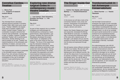### **Conrelius Cardew,<br>Treatise Concert Treatise**

by **Marco Fusi** with **students of research module ASLab**

**Thu 12.11**  $12:30 - 13:00$ 

The Animated Score Laboratory (ASLab) performs excerpts fr Cornelius Cardew (1936–1981) most iconic visual score, 'Treatise' (1963/67), the largestscale piece of graphic notation ever written. Cardew created 'Treatise' as a combination of graphic elements that could be read symbolically—as language, a code, or notation. However, Cardew published 'Treatise' with no performance instructions, thereby allowing it to be read as graphic art as well. 'Treatise' has inspired questions on the philosophy and aesthetics of notation, and even to the nature of composition and of performance itself.

The original graphic notation is presented in the animated version created by Marco Fusi, who will also introduce the future activities of ASLab, towards an investigation of the use of animated scores in music performance and education.

Language: English Venue: Conservatoire (deSingel Gele Zaal) Free admission, but registration required

### **Exploring new dramaturgical codes in contemporary music theatre creation**

Lecture-performance

by **Lies Colman, Gaea Schoeters, Annelies Van Parys** and **Els Mondelaers**

**Thu 12.11**  $13:00 - 14:00$ 

As part of their research into co-creation strategies and methodologies for interdisciplinary contemporary music performances, Gaea Schoeters, Lies Colman, Annelies Van Parys and Els Mondelaers developed the project 'Holle Haven', an adaptation of the poem of the same name by Paul van Ostaijen. The focus of this experiment was the interaction between the different disciplines and artists, where makers also acted as performers, and performers were also makers. During their lecture performance, the artists will explain the preparatory and semiimprovisational rehearsal process and the tested co-creation protocols, highlighting specific examples, and will bring the final performance.

Language: English

Venue: Conservatoire (deSingel Muziekstudio) Free admission, but registration required

### **The Singer Inside Out**

Active lecture

by **Katrien Van Opstal, with Vanessa Matthys** and **Hendrik Braeckman**

**Thu 12.11**  $14:00 - 14:30$ 

In this lecture we will take a look at the connection between voice, body and emotion. Participants of all disciplines are welcome. The focus will be on singers, dancers and actors.

Katrien Van Opstal, Belgian jazz singer and researcher, developed the Mixing Table Model for vocal jazz. In a flexible way, it connects the anatomical setup of the voice with a desired sound. At first sight. Look deeper and you see the emotions of words and music translated into the body and expressed through sound.

We will explore where different emotions are felt in our bodies. We will work with the model to understand how these feelings give rise to different sounds. We will use this deep level of consciousness to express ourselves in songs, movement and spoken word. You will be able to deeply feel the stories told. You will hear them in the words, feel them in your bodies and have them expressed in music.

Language: English and Dutch Venue: Conservatoire (deSingel Witte Zaal) Free admission, but registration required

## **Trombonemuziek in het Antwerpse Conservatorium** Concert

by **Bram Fournier** and **Yasuko Takahashi**

**Thu 12.11**  $14:00 - 14:30$ 

Het Koninklijk Conservatorium Antwerpen kan bogen op een roemrijke koperblazerstraditie die teruggaat tot de vele militaire muziekkapellen die in de negentiende eeuw in en rond Antwerpen gelegerd waren, en die tot op vandaag een groot aantal (ex)docenten en alumni aanlevert bij de koperblazerssecties van binnen- en buitenlandse orkesten. Toch is deze traditie, en de didactische en artistieke repercussies voor het hedendaags onderwijs, nauwelijks bestudeerd.

De onderzoeksgroep Labo XIX-XX zoomde in op het tromboneonderwijs aan het Conservatorium sinds de stichting van de school, om de actuele opleiding te bevragen en te verrijken. Het onderzoek gebeurde aan de hand van bronnen- en literatuuronderzoek, een doorlichting van de didactische methodes, een stijlanalytische studie van het repertoire, en een evaluatie van (historische) opnames.

Bram Fournier speelt trombonemuziek van componisten verbonden aan het Conservatorium, die hun stempel hebben gedrukt op het Belgische muziekleven.

Venue: Conservatorium (deSingel Gele Zaal) Free admission, but registration required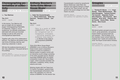### **Choreographing potentialities of collectivity**

Lecture & live showcase

by **Tuur Marinus**

**Thu 12.11**  $15:00 - 16:00$ 

In this lecture, Tuur Marinus will give an insight into his research project 'Choreographing Potentiality of Collectivity'. Expect a -not so academical- ex-catheder presentaion, alternated with some pre-recorded footage as well as with some live choreographical experiments.

Together with a few of his collaborators/ dancers, Tuur Marinus will present some new forms of thinking, dancing, and observing 'collectivity' in dance.

Will also the audience become part of this 'new collectivity'? The proof will be in the pudding!

Language: English Venue: Conservatoire (deSingel Muziekstudio) Free admission, but registration required

### **Anthony Braxton's 'Echo Echo Mirror House Music'**

Try-out concert

by **Kobe Van Cauwenberghe**, with **Steven Delannoye**, **Niels Van Heertum**, **Hampus Lindwall**, **Carl Testa**

**Thu 12.11**

19:00 – 19:30

"This is a world of INTER-CONNECTIVITY that allows for integrated and reintegration strategies – including merging into different area-spaces." — A. Braxton (Liner notes to '3 Compositions [EEMHM] 2011').

'Echo Echo Mirror House Music' (EEMHM) is one of Anthony Braxton's lesser-known recent composition systems in which he combines a layered system of graphic scores with an interactive sound collage consisting of his entire recorded oeuvre. Braxton associates EEMHM within his holistic composition model with 'Sound Mass Logics', which musically translates into replication, multiplicity, infinity, clouds, swarms and noise.

Working closely with Carl Testa from Tri-Centric Foundation, guitarist Kobe Van Cauwenberghe will present a first step in the realization of a new live version of EEMHM. For this version Van Cauwenberghe is joined by saxophonist Steven Delannoye, tubist Niels Van Heertum and organist Hampus Lindwall as well as Carl Testa himself, who will perform the sound collage live from New Haven via zoom.

Language: English Venue: Conservatoire (deSingel Gele Zaal) Free admission, but registration required

### **Groupies**

Lecture-concert

by **Thomas M. Moore**, with **Hugo Ranilla**, **Pieter Matthynssens**, **Mar Sala Romagosa**, **Yassine Posman**, **Tim Courtyn**, **Alejandro Tentor**, **Wim Pelgrims**, **Taha Posman**, **Bert Koether**, **Arne Torfs**, **Cézanne Van de Voorde**, **Emma Wills**, **Emma Zoons**, **Nico Couck**

**Thu 12.11**  $20:00 - 20:30$ 

Microtonal guitars grouped around the note E, group glissandos, and gesturebased notation grouping build-ups and releases – that all awaits us at this chamber music concert featuring students from "inside and outside and amid" the Royal Conservatoire Antwerp.

Language: English

Venue: Conservatoire (deSingel Witte Zaal) Free admission, but registration required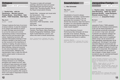### **Octopus**

Concert with prerecorded video

by **Geoffa Fells**, **with Ine Vanoeveren**, **Marcelo Lazcano**, **Thomas Moore**, **Umut Eldem**, **Kate Smith**, **THAT! Ensemble**, **Bob Payne**

**Thu 12.11**  $21:00 - 21:30$ 

'Octopus' explores the lives of survivors of sexual violence. It uses the metaphor of an octopus who blends its colours to match the deep sea environment to survive the waves and currents representing society's misconceptions about survivors and pervasive rape culture. Inspired by survivors' selfreported interoceptive drawings of how emotions manifest in the body as well as their accounts of the importance of creativity in healing, the piece shows a gradual growth from sounds and visuals about blending, hiding and surviving to ones about expression, confidence and communication. Metaphor and representation help to make this difficult, painful subject easier to discuss and interrogate.

Geoffa Fells chose the deep sea Octopus because it is an intelligent, perceptive and resilient survivor, able to withstand huge pressures and adapt to hostile environments. With survivors often facing disbelief or blame for not fighting back, the Octopus's varied and colourful survival systems offer scope to show a full range of responses to trauma and validate them.

This piece is made with animated paintings, electronics track and scored instrumental parts and forms part of Geoffa Fells' 'Sounding Equality' PhD at the Royal Conservatoire Antwerp.

Geoffa Fells: composer and visual artist Ine Vanoeveren: flute Marcelo Lazcano: electric guitar Thomas Moore: trombon Umut Eldem: piano Kate Smith, THAT! Ensemble: vocal improviser Bob Payne: hand

Survivor Questionnaire Submissions: Cambria, Tara Reece, Maca Rosmanich, Swetha Ranganathan Nefelibata, Dilara Aydin-Corbett Marcelo Lazcano, and others who wish to remain anonymous.

Venue: Conservatoire (deSingel Gele Zaal) Free admission, but registration required

### **Soundvision** Concert

by **Max Schweder**

**Thu 12.11**

 $22:00 - 22:30$ 

Visualization of sound is always interpretation, translation, transformation from one sense to another. Can we generalize this translation? Can we shorten the necessary steps that have to be taken? Or is the absolute subjective, artistic interpretation the key factor to make visuals tangible?

In a short Electronic-Concert-Performance Max Schweder will show the state of his research. Merging Procedural-Visuals with the input from a 3D Camera and Sound in realtime.

Language: English Venue: Conservatoire (deSingel Witte Zaal) Free admission, but registration required

### **Jacqueline Fontyn**

Concert and lecture

by **Pauline Lebbe**, **Hannah Aelvoet**, **Vlad Weverberg**, **Adilia Yip, Astrid Espinosa Bordón**, **Jorge Rodriguez**, **Ricardo Lievano Flores**, in the presence of **Jacqueline Fontyn**

**Fri 13.11** 13:00 – 15:00

Jacqueline Fontyn (°1930), gewezen docente van het Antwerps conservatorium, is een van de meest productieve en internationaal succesvolle componisten van ons land. In haar werk, dat zowel muzikanten als luisteraars uitdaagt met zijn verrassende timbres, clusters en technieken, staan humor en spelplezier steeds voorop. Op de vooravond van haar negentigste verjaardag gaan wij de uitdaging aan. We brengen u een greep bijzondere Belgische kamermuziek met geklap en getokkel, gelach en gefluister, en poëzie van Engels tot Swahili, en dit in het bijzijn van de componiste. We omkaderen dit met een duiding van de muziek en haar schepper, en gaan dieper in op de bevrijdende weg van 'extended techniques' naar 'extended comfort zone'.

Lezing 'Extended techniques in het vocaal werk van Jacqueline Fontyn' (Pauline Lebbe) Concert met kamermuziek van Jacqueline Fontyn:

- 'Naïra', 'Blake's Mirror' en 'Ku Soko' (Pauline Lebbe, Hannah Aelvoet)
- 'Controverse' (Vlad Weverbergh, Adilia Yip) • 'Tree of life' (Adilia Yip, Astrid Espinosa
- Bordón, Jorge Rodriguez, Ricardo Lievano Flores)

Language: Dutch Venue: Conservatoire (deSingel Witte Zaal) Free admission, but registration required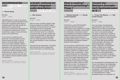### **INCORPORATED**

Open lecture / workshop

presentation

#### by **Winnie Huang**

**Fri 13.11**  $15:30 - 16:00$ 

'INCORPorated' is a way to use known skills in artists' personal disciplines while being open to exploring other ways of expressing with their body through the guidance of the audio-scores. This will be an interactive interdisciplinary 45 minutes lecture/workshop, first for soloists then, groups of duos and finally groups of four performers.

In her work as a researcher and performer of musical-gestural works, Winnie Huang was given a work by Stanford University DMA composer Chris Lortie called 'INCORP'. While it started as a solo developmental work, it expanded to duo and quartet versions. The work is an opportunity for any type of performer (musical, theatrical, dance, performance art, spoken word etc…) to experiment with audio-scores and their own creativity using all possible aspects of themselves.

Language: English Venue: Conservatoire (deSingel Gele Zaal) Free admission, but registration required

### **ArtInAD: methods for artistic integrated audio-description**

Lecture & book launch

by **Max Greyson**

**Fri 13.11**  $17:00 - 17:30$ 

After two years of artistic research, Max Greyson presents his ArtInAD method workbook. On the one hand it is a report of the different forms of integrated accessibility in the contemporary arts and on the other hand it is a collection of practical tools for artistic creation with a focus on accessibility, in particular the artistic integration of audio description and non-verbal elements for the blind and visually impaired in music and dance theater.

During this book presentation, if possible, there will also be room to experience some of the tools in an interactive way.

Language: English Venue: Conservatoire (deSingel Muziekstudio) Free admission, but registration required

### **What is reading? What is performing?: Phase 1**

Lecture-performance

by **Stefania Assandri** and **Renata Lamenza Epifanio**

**Fri 13.11**  $19:00 - 19:30$ 

'TACTICS for a COLLECTIVE BODY' experiments with the nuances of combining the words collective (>1) to body (=1) to reinforce its flexibility. In the search for collectiveness, this project invests in new possibilities of thinking the relationship between the performer and the audience. Could we suppose performance as a privileged artistic practice in order to study the potentialities of interaction between performer and audience?

On the occasion of ARTICULATE, we [the Italo-Sudakas Assandri and Lamenza] propose they [>we and Researcher (>1)] to perform a TACTIC in progress 'What is reading? What is performing? : Phase 1'. Experimenting with the hybridization of practice and theory, the event will be a try out of the material elaborated during the first two months of their research that consists of intertwining the reading of 'Bodies that matter' written by Judith Butler with our body. The relocation of Butler's theory about performativity is they's tool to investigate the relationship between audience and performer.

Language: English Venue: Conservatoire (deSingel Gele Zaal) Free admission, but registration required

# **Vincent Van Meenen's Surrealistisch Spuitwatersalon**

Lecture-performance

by **Vincent Van Meenen** and **Bob Vanden Broeck**

**Fri 13.11** 20:00 – 20:30

Voor het tweede 'Surrealistische spuitwatersalon' gaat Vincent Van Meenen aan de slag met dichter Bob Vanden Broeck. Het afgelopen half jaar waren zij exclusieve getuigen van elkaars creatieproces, waarbij ze gedichten schreven aan de hand van enkele surrealistische creatiemethodes enerzijds, en een door de jongeren van de BOSLABS-samengestelde toolkit anderzijds. Met behulp van telefoongesprekken, dagelijkse brieven, videocalls en wandelingen hielden zij elkaar op de hoogte, becommentarieerden en wijzigden elkaars werk. Hierbij werden opnames gemaakt van telefoongesprekken, kladnotities en gedichten-exegeses. Tijdens het salon zullen ze live elkaars gedichten verbeteren, wijzigen en toelichten.

De 'Surrealistische spuitwatersalons' van Vincent Van Meenen zijn halfjaarlijkse open researchmomenten in het kader van het doctoraatstraject '100 jaar surrealisme – met surrealistische creatiemethodes in dialoog'. Tijdens de 'spuitwatersalons' worden specifieke thema's en methoden van